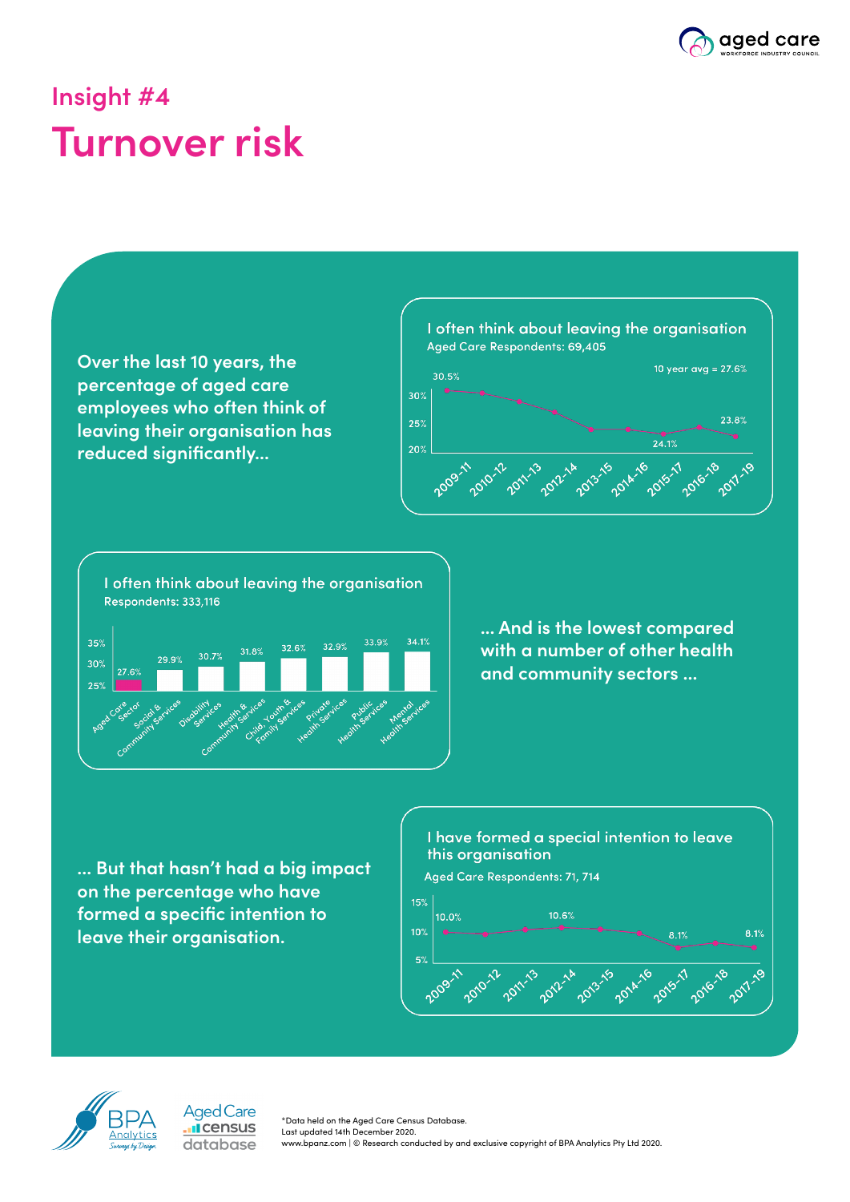

## **Insight #4 Turnover risk**



**... But that hasn't had a big impact on the percentage who have formed a specific intention to leave their organisation.**







\*Data held on the Aged Care Census Database. Last updated 14th December 2020. www.bpanz.com | © Research conducted by and exclusive copyright of BPA Analytics Pty Ltd 2020.